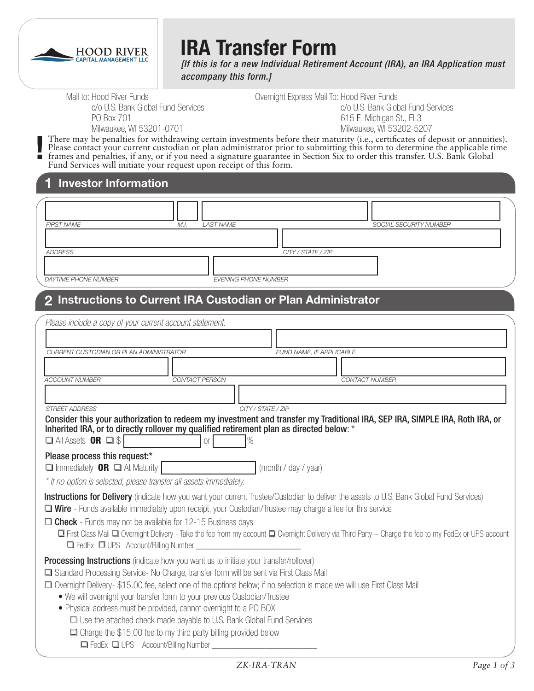

**!**

# **IRA Transfer Form**

*[If this is for a new Individual Retirement Account (IRA), an IRA Application must accompany this form.]*

Mail to: Hood River Funds c/o U.S. Bank Global Fund Services PO Box 701 Milwaukee, WI 53201-0701

Overnight Express Mail To: Hood River Funds c/o U.S. Bank Global Fund Services 615 E. Michigan St., FL3 Milwaukee, WI 53202-5207

There may be penalties for withdrawing certain investments before their maturity (i.e., certificates of deposit or annuities). Please contact your current custodian or plan administrator prior to submitting this form to determine the applicable time frames and penalties, if any, or if you need a signature guarantee in Section Six to order this transfer. U.S. Bank Global Fund Services will initiate your request upon receipt of this form.

### **1 Investor Information**

| <b>FIRST NAME</b>    | LAST NAME<br>M.I.           | SOCIAL SECURITY NUMBER |
|----------------------|-----------------------------|------------------------|
|                      |                             |                        |
| ADDRESS              |                             | CITY / STATE / ZIP     |
|                      |                             |                        |
| DAYTIME PHONE NUMBER | <b>EVENING PHONE NUMBER</b> |                        |

# **2 Instructions to Current IRA Custodian or Plan Administrator**

| Please include a copy of your current account statement.                                                                                                                                                                                                                                                                                                                                                                                                                                                                                                                                                                                                                          |                          |                                                                                                                                                                                                                                                                                                            |
|-----------------------------------------------------------------------------------------------------------------------------------------------------------------------------------------------------------------------------------------------------------------------------------------------------------------------------------------------------------------------------------------------------------------------------------------------------------------------------------------------------------------------------------------------------------------------------------------------------------------------------------------------------------------------------------|--------------------------|------------------------------------------------------------------------------------------------------------------------------------------------------------------------------------------------------------------------------------------------------------------------------------------------------------|
|                                                                                                                                                                                                                                                                                                                                                                                                                                                                                                                                                                                                                                                                                   |                          |                                                                                                                                                                                                                                                                                                            |
| CURRENT CUSTODIAN OR PLAN ADMINISTRATOR                                                                                                                                                                                                                                                                                                                                                                                                                                                                                                                                                                                                                                           | FUND NAME. IF APPLICABLE |                                                                                                                                                                                                                                                                                                            |
|                                                                                                                                                                                                                                                                                                                                                                                                                                                                                                                                                                                                                                                                                   |                          |                                                                                                                                                                                                                                                                                                            |
| <b>ACCOUNT NUMBER</b>                                                                                                                                                                                                                                                                                                                                                                                                                                                                                                                                                                                                                                                             | CONTACT PERSON           | <b>CONTACT NUMBER</b>                                                                                                                                                                                                                                                                                      |
|                                                                                                                                                                                                                                                                                                                                                                                                                                                                                                                                                                                                                                                                                   |                          |                                                                                                                                                                                                                                                                                                            |
| <b>STREET ADDRESS</b>                                                                                                                                                                                                                                                                                                                                                                                                                                                                                                                                                                                                                                                             | CITY / STATE / ZIP       |                                                                                                                                                                                                                                                                                                            |
| Inherited IRA, or to directly rollover my qualified retirement plan as directed below: *<br>$\Box$ All Assets <b>OR</b> $\Box$ \$                                                                                                                                                                                                                                                                                                                                                                                                                                                                                                                                                 | Of<br>$\%$               | Consider this your authorization to redeem my investment and transfer my Traditional IRA, SEP IRA, SIMPLE IRA, Roth IRA, or                                                                                                                                                                                |
| Please process this request:*<br>$\Box$ Immediately <b>OR</b> $\Box$ At Maturity<br>* If no option is selected, please transfer all assets immediately.                                                                                                                                                                                                                                                                                                                                                                                                                                                                                                                           | (month / day / year)     |                                                                                                                                                                                                                                                                                                            |
| □ Wire - Funds available immediately upon receipt, your Custodian/Trustee may charge a fee for this service<br>$\Box$ Check - Funds may not be available for 12-15 Business days<br>G FedEx O UPS Account/Billing Number _________                                                                                                                                                                                                                                                                                                                                                                                                                                                |                          | <b>Instructions for Delivery</b> (indicate how you want your current Trustee/Custodian to deliver the assets to U.S. Bank Global Fund Services)<br>□ First Class Mail □ Overnight Delivery - Take the fee from my account □ Overnight Delivery via Third Party - Charge the fee to my FedEx or UPS account |
| <b>Processing Instructions</b> (indicate how you want us to initiate your transfer/rollover)<br>Standard Processing Service- No Charge, transfer form will be sent via First Class Mail<br>□ Overnight Delivery-\$15.00 fee, select one of the options below; if no selection is made we will use First Class Mail<br>• We will overnight your transfer form to your previous Custodian/Trustee<br>• Physical address must be provided, cannot overnight to a PO BOX<br>□ Use the attached check made payable to U.S. Bank Global Fund Services<br>$\Box$ Charge the \$15.00 fee to my third party billing provided below<br>G FedEx UPS Account/Billing Number _________________ |                          |                                                                                                                                                                                                                                                                                                            |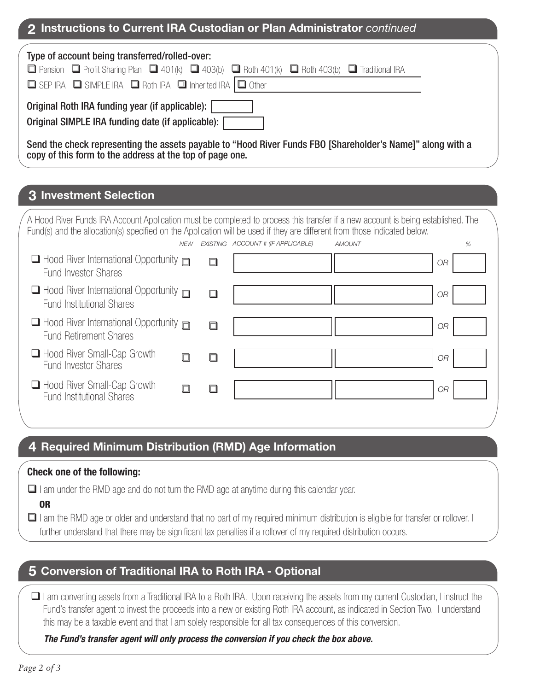## **2 Instructions to Current IRA Custodian or Plan Administrator** *continued*

| Type of account being transferred/rolled-over:                                                                                                                         |
|------------------------------------------------------------------------------------------------------------------------------------------------------------------------|
| $\Box$ Pension $\Box$ Profit Sharing Plan $\Box$ 401(k) $\Box$ 403(b) $\Box$ Roth 401(k) $\Box$ Roth 403(b) $\Box$ Traditional IRA                                     |
| □ SEP IRA □ SIMPLE IRA □ Roth IRA □ Inherited IRA □ Other                                                                                                              |
| Original Roth IRA funding year (if applicable):<br>Original SIMPLE IRA funding date (if applicable):                                                                   |
| Send the check representing the assets payable to "Hood River Funds FBO [Shareholder's Name]" along with a<br>copy of this form to the address at the top of page one. |

## **3 Investment Selection**

| A Hood River Funds IRA Account Application must be completed to process this transfer if a new account is being established. The<br>Fund(s) and the allocation(s) specified on the Application will be used if they are different from those indicated below. |            |        |                                    |               |           |   |
|---------------------------------------------------------------------------------------------------------------------------------------------------------------------------------------------------------------------------------------------------------------|------------|--------|------------------------------------|---------------|-----------|---|
|                                                                                                                                                                                                                                                               | <b>NEW</b> |        | EXISTING ACCOUNT # (IF APPLICABLE) | <b>AMOUNT</b> |           | % |
| $\Box$ Hood River International Opportunity $\Box$<br><b>Fund Investor Shares</b>                                                                                                                                                                             |            | $\Box$ |                                    |               | <b>OR</b> |   |
| $\Box$ Hood River International Opportunity $\Box$<br><b>Fund Institutional Shares</b>                                                                                                                                                                        |            |        |                                    |               | <b>OR</b> |   |
| $\Box$ Hood River International Opportunity $\Box$<br><b>Fund Retirement Shares</b>                                                                                                                                                                           |            |        |                                    |               | <b>OR</b> |   |
| $\Box$ Hood River Small-Cap Growth<br><b>Fund Investor Shares</b>                                                                                                                                                                                             |            |        |                                    |               | 0R        |   |
| Hood River Small-Cap Growth<br><b>Fund Institutional Shares</b>                                                                                                                                                                                               |            |        |                                    |               | 0R        |   |
|                                                                                                                                                                                                                                                               |            |        |                                    |               |           |   |

# **4 Required Minimum Distribution (RMD) Age Information**

#### **Check one of the following:**

 $\Box$  I am under the RMD age and do not turn the RMD age at anytime during this calendar year.

OR

I am the RMD age or older and understand that no part of my required minimum distribution is eligible for transfer or rollover. I further understand that there may be significant tax penalties if a rollover of my required distribution occurs.

## **5 Conversion of Traditional IRA to Roth IRA - Optional**

 I am converting assets from a Traditional IRA to a Roth IRA. Upon receiving the assets from my current Custodian, I instruct the Fund's transfer agent to invest the proceeds into a new or existing Roth IRA account, as indicated in Section Two. I understand this may be a taxable event and that I am solely responsible for all tax consequences of this conversion.

#### *The Fund's transfer agent will only process the conversion if you check the box above.*